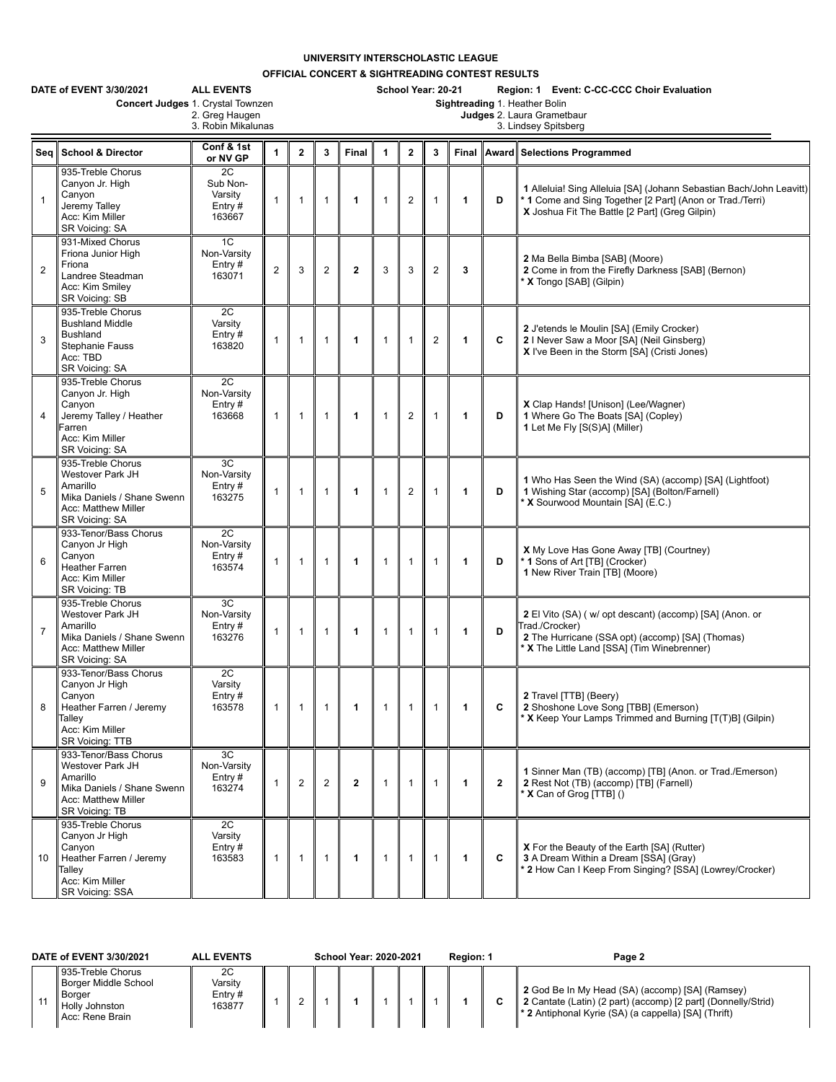**UNIVERSITY INTERSCHOLASTIC LEAGUE**

**OFFICIAL CONCERT & SIGHTREADING CONTEST RESULTS**

|                | DATE of EVENT 3/30/2021<br>Concert Judges 1. Crystal Townzen                                                                 | <b>ALL EVENTS</b><br>2. Greg Haugen<br>3. Robin Mikalunas |                |              |                |              |                      |                | School Year: 20-21 |              |              | Region: 1 Event: C-CC-CCC Choir Evaluation<br>Sightreading 1. Heather Bolin<br>Judges 2. Laura Grametbaur<br>3. Lindsey Spitsberg                                                  |
|----------------|------------------------------------------------------------------------------------------------------------------------------|-----------------------------------------------------------|----------------|--------------|----------------|--------------|----------------------|----------------|--------------------|--------------|--------------|------------------------------------------------------------------------------------------------------------------------------------------------------------------------------------|
|                | Seq School & Director                                                                                                        | Conf & 1st<br>or NV GP                                    | $\mathbf{1}$   | $\mathbf{2}$ | 3              | Final        | $\blacktriangleleft$ | $\overline{2}$ | 3                  |              |              | Final Award Selections Programmed                                                                                                                                                  |
| $\overline{1}$ | 935-Treble Chorus<br>Canyon Jr. High<br>Canyon<br>Jeremy Talley<br>Acc: Kim Miller<br>SR Voicing: SA                         | 2C<br>Sub Non-<br>Varsity<br>Entry $#$<br>163667          | $\mathbf{1}$   | 1            | $\mathbf{1}$   | $\mathbf 1$  | $\overline{1}$       | $\overline{2}$ | $\mathbf{1}$       | $\mathbf{1}$ | D            | 1 Alleluia! Sing Alleluia [SA] (Johann Sebastian Bach/John Leavitt)<br>* 1 Come and Sing Together [2 Part] (Anon or Trad./Terri)<br>X Joshua Fit The Battle [2 Part] (Greg Gilpin) |
| $\overline{2}$ | 931-Mixed Chorus<br>Friona Junior High<br>Friona<br>Landree Steadman<br>Acc: Kim Smiley<br>SR Voicing: SB                    | 1C<br>Non-Varsity<br>Entry $#$<br>163071                  | $\overline{c}$ | 3            | $\overline{2}$ | $\mathbf{2}$ | 3                    | 3              | $\overline{2}$     | 3            |              | 2 Ma Bella Bimba [SAB] (Moore)<br>2 Come in from the Firefly Darkness [SAB] (Bernon)<br>X Tongo [SAB] (Gilpin)                                                                     |
| 3              | 935-Treble Chorus<br><b>Bushland Middle</b><br><b>Bushland</b><br>Stephanie Fauss<br>Acc: TBD<br>SR Voicing: SA              | 2C<br>Varsity<br>Entry $#$<br>163820                      | $\mathbf{1}$   | $\mathbf{1}$ | $\mathbf{1}$   | $\mathbf{1}$ | $\mathbf{1}$         | $\mathbf{1}$   | $\overline{2}$     | 1            | C            | 2 J'etends le Moulin [SA] (Emily Crocker)<br>2   Never Saw a Moor [SA] (Neil Ginsberg)<br>X I've Been in the Storm [SA] (Cristi Jones)                                             |
| $\overline{4}$ | 935-Treble Chorus<br>Canyon Jr. High<br>Canyon<br>Jeremy Talley / Heather<br>Farren<br>Acc: Kim Miller<br>SR Voicing: SA     | 2C<br>Non-Varsity<br>Entry $#$<br>163668                  | $\mathbf{1}$   | 1            | $\mathbf{1}$   | $\mathbf 1$  | $\mathbf{1}$         | $\overline{2}$ | $\mathbf{1}$       | $\mathbf{1}$ | D            | X Clap Hands! [Unison] (Lee/Wagner)<br>1 Where Go The Boats [SA] (Copley)<br>1 Let Me Fly [S(S)A] (Miller)                                                                         |
| 5              | 935-Treble Chorus<br>Westover Park JH<br>Amarillo<br>Mika Daniels / Shane Swenn<br>Acc: Matthew Miller<br>SR Voicing: SA     | 3C<br>Non-Varsity<br>Entry#<br>163275                     | $\mathbf{1}$   | 1            | $\mathbf{1}$   | $\mathbf{1}$ | $\mathbf{1}$         | $\overline{2}$ | $\mathbf{1}$       | $\mathbf{1}$ | D            | 1 Who Has Seen the Wind (SA) (accomp) [SA] (Lightfoot)<br>1 Wishing Star (accomp) [SA] (Bolton/Farnell)<br>X Sourwood Mountain [SA] (E.C.)                                         |
| 6              | 933-Tenor/Bass Chorus<br>Canyon Jr High<br>Canyon<br><b>Heather Farren</b><br>Acc: Kim Miller<br>SR Voicing: TB              | 2C<br>Non-Varsity<br>Entry $#$<br>163574                  | $\mathbf{1}$   | $\mathbf{1}$ | $\overline{1}$ | $\mathbf 1$  | $\mathbf{1}$         | $\mathbf{1}$   | $\mathbf{1}$       | $\mathbf{1}$ | D            | X My Love Has Gone Away [TB] (Courtney)<br>* 1 Sons of Art [TB] (Crocker)<br>1 New River Train [TB] (Moore)                                                                        |
| $\overline{7}$ | 935-Treble Chorus<br>Westover Park JH<br>Amarillo<br>Mika Daniels / Shane Swenn<br>Acc: Matthew Miller<br>SR Voicing: SA     | 3C<br>Non-Varsity<br>Entry $#$<br>163276                  | $\mathbf{1}$   | $\mathbf{1}$ | $\mathbf{1}$   | $\mathbf{1}$ | $\mathbf{1}$         | $\mathbf{1}$   | $\mathbf{1}$       | 1            | D            | 2 El Vito (SA) (w/ opt descant) (accomp) [SA] (Anon. or<br>Trad./Crocker)<br>2 The Hurricane (SSA opt) (accomp) [SA] (Thomas)<br>* X The Little Land [SSA] (Tim Winebrenner)       |
| 8              | 933-Tenor/Bass Chorus<br>Canyon Jr High<br>Canyon<br>Heather Farren / Jeremy<br>Talley<br>Acc: Kim Miller<br>SR Voicing: TTB | 2C<br>Varsity<br>Entry#<br>163578                         | $\mathbf{1}$   | 1            | $\overline{1}$ | $\mathbf 1$  | $\mathbf{1}$         | $\mathbf{1}$   | $\mathbf{1}$       | 1            | C            | 2 Travel [TTB] (Beery)<br>2 Shoshone Love Song [TBB] (Emerson)<br>* X Keep Your Lamps Trimmed and Burning [T(T)B] (Gilpin)                                                         |
| 9              | 933-Tenor/Bass Chorus<br>Westover Park JH<br>Amarillo<br>Mika Daniels / Shane Swenn<br>Acc: Matthew Miller<br>SR Voicing: TB | 3C<br>Non-Varsity<br>Entry#<br>163274                     | $\mathbf{1}$   | 2            | $\overline{2}$ | $\mathbf{2}$ | $\mathbf{1}$         | $\mathbf{1}$   | $\mathbf{1}$       | 1            | $\mathbf{2}$ | 1 Sinner Man (TB) (accomp) [TB] (Anon. or Trad./Emerson)<br>2 Rest Not (TB) (accomp) [TB] (Farnell)<br>X Can of Grog [TTB] ()                                                      |
| 10             | 935-Treble Chorus<br>Canyon Jr High<br>Canyon<br>Heather Farren / Jeremy<br>Talley<br>Acc: Kim Miller<br>SR Voicing: SSA     | 2C<br>Varsity<br>Entry#<br>163583                         | $\mathbf{1}$   | $\mathbf{1}$ | $\mathbf{1}$   | $\mathbf{1}$ | $\mathbf{1}$         | $\mathbf{1}$   | $\mathbf{1}$       | $\mathbf{1}$ | C            | X For the Beauty of the Earth [SA] (Rutter)<br>3 A Dream Within a Dream [SSA] (Gray)<br>* 2 How Can I Keep From Singing? [SSA] (Lowrey/Crocker)                                    |

| DATE of EVENT 3/30/2021                                                                                  | <b>ALL EVENTS</b>                  | <b>School Year: 2020-2021</b> |  |  |  |  | Region: 1 | Page 2 |                                                                                                                                                                                      |
|----------------------------------------------------------------------------------------------------------|------------------------------------|-------------------------------|--|--|--|--|-----------|--------|--------------------------------------------------------------------------------------------------------------------------------------------------------------------------------------|
| 935-Treble Chorus<br><b>Borger Middle School</b><br><b>Borger</b><br>l Holly Johnston<br>Acc: Rene Brain | 2C<br>Varsitv<br>Entry #<br>163877 |                               |  |  |  |  |           |        | 2 God Be In My Head (SA) (accomp) [SA] (Ramsey)<br>2 Cantate (Latin) (2 part) (accomp) [2 part] (Donnelly/Strid)<br>$\parallel^*$ 2 Antiphonal Kyrie (SA) (a cappella) [SA] (Thrift) |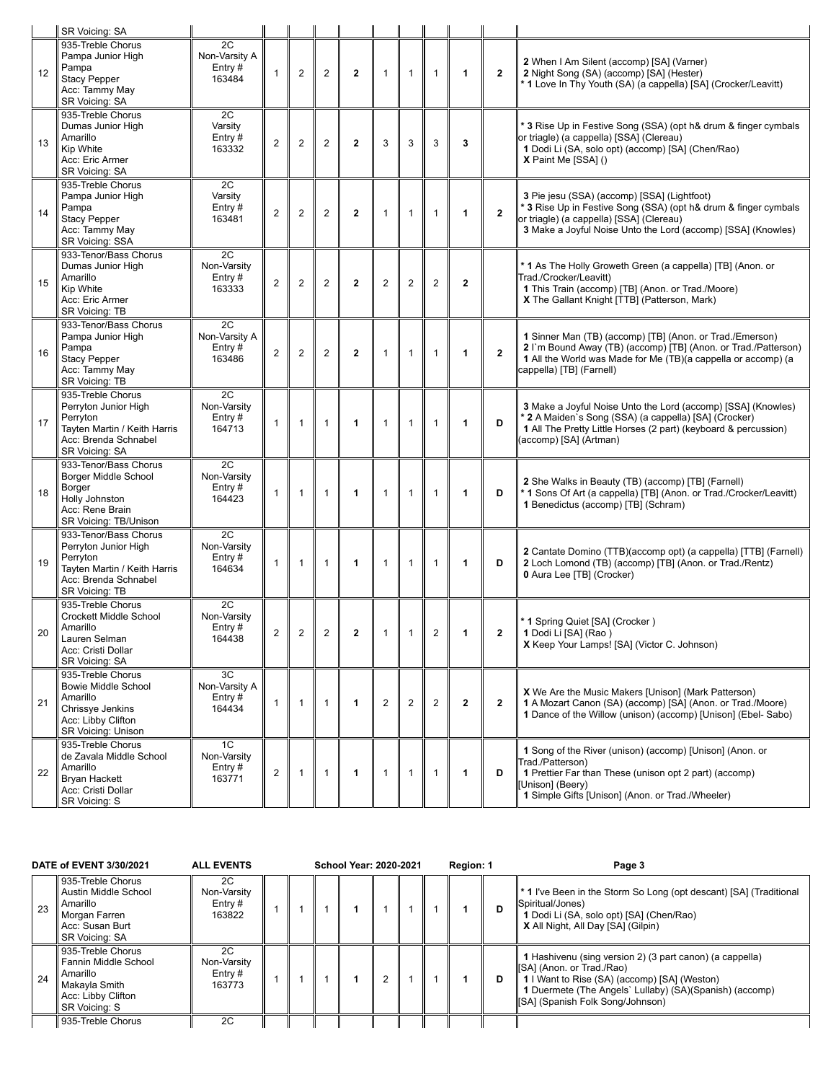|    | SR Voicing: SA                                                                                                                      |                                            |                |                |                |              |                |                |                |              |              |                                                                                                                                                                                                                            |
|----|-------------------------------------------------------------------------------------------------------------------------------------|--------------------------------------------|----------------|----------------|----------------|--------------|----------------|----------------|----------------|--------------|--------------|----------------------------------------------------------------------------------------------------------------------------------------------------------------------------------------------------------------------------|
| 12 | 935-Treble Chorus<br>Pampa Junior High<br>Pampa<br><b>Stacy Pepper</b><br>Acc: Tammy May<br>SR Voicing: SA                          | 2C<br>Non-Varsity A<br>Entry $#$<br>163484 | $\mathbf{1}$   | $\overline{2}$ | $\overline{2}$ | $\mathbf{2}$ | $\mathbf{1}$   | $\overline{1}$ | $\mathbf{1}$   | 1            | $\mathbf{2}$ | 2 When I Am Silent (accomp) [SA] (Varner)<br>2 Night Song (SA) (accomp) [SA] (Hester)<br><sup>*</sup> 1 Love In Thy Youth (SA) (a cappella) [SA] (Crocker/Leavitt)                                                         |
| 13 | 935-Treble Chorus<br>Dumas Junior High<br>Amarillo<br>Kip White<br>Acc: Eric Armer<br>SR Voicing: SA                                | 2C<br>Varsity<br>Entry $#$<br>163332       | $\overline{2}$ | $\overline{2}$ | $\overline{2}$ | $\mathbf{2}$ | 3              | 3              | 3              | 3            |              | 3 Rise Up in Festive Song (SSA) (opt h& drum & finger cymbals<br>or triagle) (a cappella) [SSA] (Clereau)<br>1 Dodi Li (SA, solo opt) (accomp) [SA] (Chen/Rao)<br>X Paint Me [SSA] ()                                      |
| 14 | 935-Treble Chorus<br>Pampa Junior High<br>Pampa<br><b>Stacy Pepper</b><br>Acc: Tammy May<br>SR Voicing: SSA                         | 2C<br>Varsity<br>Entry#<br>163481          | $\overline{2}$ | 2              | $\overline{2}$ | $\mathbf{2}$ | $\mathbf{1}$   | $\overline{1}$ | $\mathbf{1}$   | $\mathbf{1}$ | $\mathbf{2}$ | 3 Pie jesu (SSA) (accomp) [SSA] (Lightfoot)<br>* 3 Rise Up in Festive Song (SSA) (opt h& drum & finger cymbals<br>or triagle) (a cappella) [SSA] (Clereau)<br>3 Make a Joyful Noise Unto the Lord (accomp) [SSA] (Knowles) |
| 15 | 933-Tenor/Bass Chorus<br>Dumas Junior High<br>Amarillo<br>Kip White<br>Acc: Eric Armer<br>SR Voicing: TB                            | 2C<br>Non-Varsity<br>Entry#<br>163333      | $\overline{2}$ | $\overline{2}$ | $\overline{2}$ | $\mathbf{2}$ | $\overline{2}$ | $\overline{2}$ | $\overline{2}$ | $\mathbf{2}$ |              | * 1 As The Holly Groweth Green (a cappella) [TB] (Anon. or<br>Trad./Crocker/Leavitt)<br>1 This Train (accomp) [TB] (Anon. or Trad./Moore)<br>X The Gallant Knight [TTB] (Patterson, Mark)                                  |
| 16 | 933-Tenor/Bass Chorus<br>Pampa Junior High<br>Pampa<br>Stacy Pepper<br>Acc: Tammy May<br>SR Voicing: TB                             | 2C<br>Non-Varsity A<br>Entry#<br>163486    | $\overline{2}$ | $\overline{2}$ | $\overline{2}$ | $\mathbf{2}$ | $\mathbf{1}$   | $\mathbf{1}$   | $\mathbf{1}$   | 1            | $\mathbf{2}$ | 1 Sinner Man (TB) (accomp) [TB] (Anon. or Trad./Emerson)<br>2 I'm Bound Away (TB) (accomp) [TB] (Anon. or Trad./Patterson)<br>1 All the World was Made for Me (TB)(a cappella or accomp) (a<br>cappella) [TB] (Farnell)    |
| 17 | 935-Treble Chorus<br>Perryton Junior High<br>Perryton<br>Tayten Martin / Keith Harris<br>Acc: Brenda Schnabel<br>SR Voicing: SA     | 2C<br>Non-Varsity<br>Entry#<br>164713      | $\mathbf{1}$   | $\mathbf{1}$   | $\mathbf{1}$   | 1            | $\mathbf{1}$   | $\mathbf{1}$   | $\mathbf{1}$   | 1            | D            | 3 Make a Joyful Noise Unto the Lord (accomp) [SSA] (Knowles)<br>2 A Maiden's Song (SSA) (a cappella) [SA] (Crocker)<br>1 All The Pretty Little Horses (2 part) (keyboard & percussion)<br>(accomp) [SA] (Artman)           |
| 18 | 933-Tenor/Bass Chorus<br>Borger Middle School<br>Borger<br>Holly Johnston<br>Acc: Rene Brain<br>SR Voicing: TB/Unison               | 2C<br>Non-Varsity<br>Entry $#$<br>164423   | $\mathbf{1}$   | 1              | $\overline{1}$ | 1            | $\mathbf{1}$   | $\overline{1}$ | $\mathbf{1}$   | 1            | D            | 2 She Walks in Beauty (TB) (accomp) [TB] (Farnell)<br>* 1 Sons Of Art (a cappella) [TB] (Anon. or Trad./Crocker/Leavitt)<br>1 Benedictus (accomp) [TB] (Schram)                                                            |
| 19 | 933-Tenor/Bass Chorus<br>Perryton Junior High<br>Perryton<br>Tayten Martin / Keith Harris<br>Acc: Brenda Schnabel<br>SR Voicing: TB | 2C<br>Non-Varsity<br>Entry#<br>164634      | $\mathbf{1}$   | 1              | $\mathbf{1}$   | 1            | $\mathbf{1}$   | $\mathbf{1}$   | $\mathbf{1}$   | 1            | D            | 2 Cantate Domino (TTB)(accomp opt) (a cappella) [TTB] (Farnell)<br>2 Loch Lomond (TB) (accomp) [TB] (Anon. or Trad./Rentz)<br>0 Aura Lee [TB] (Crocker)                                                                    |
| 20 | 935-Treble Chorus<br><b>Crockett Middle School</b><br>Amarillo<br>Lauren Selman<br>Acc: Cristi Dollar<br>SR Voicing: SA             | 2C<br>Non-Varsity<br>Entry#<br>164438      | $\overline{2}$ | $\overline{2}$ | $\overline{2}$ | $\mathbf{2}$ | $\mathbf{1}$   | $\mathbf{1}$   | $\overline{2}$ | 1            | $\mathbf{2}$ | * 1 Spring Quiet [SA] (Crocker)<br>1 Dodi Li [SA] (Rao)<br>X Keep Your Lamps! [SA] (Victor C. Johnson)                                                                                                                     |
| 21 | 935-Treble Chorus<br><b>Bowie Middle School</b><br>Amarillo<br>Chrissye Jenkins<br>Acc: Libby Clifton<br><b>SR Voicing: Unison</b>  | 3C<br>Non-Varsity A<br>Entry#<br>164434    | $\mathbf{1}$   | $\mathbf{1}$   | $\mathbf{1}$   | $\mathbf{1}$ | 2              | 2              | $\overline{2}$ | $\mathbf{2}$ | $\mathbf{2}$ | <b>X</b> We Are the Music Makers [Unison] (Mark Patterson)<br>1 A Mozart Canon (SA) (accomp) [SA] (Anon. or Trad./Moore)<br>1 Dance of the Willow (unison) (accomp) [Unison] (Ebel-Sabo)                                   |
| 22 | 935-Treble Chorus<br>de Zavala Middle School<br>Amarillo<br><b>Bryan Hackett</b><br>Acc: Cristi Dollar<br>SR Voicing: S             | 1C<br>Non-Varsity<br>Entry#<br>163771      | $\overline{2}$ | $\mathbf{1}$   | $\mathbf{1}$   | 1            | $\mathbf{1}$   | $\overline{1}$ | $\mathbf{1}$   | 1            | D            | 1 Song of the River (unison) (accomp) [Unison] (Anon. or<br>Trad./Patterson)<br>1 Prettier Far than These (unison opt 2 part) (accomp)<br>[Unison] (Beery)<br>1 Simple Gifts [Unison] (Anon. or Trad./Wheeler)             |

|    | DATE of EVENT 3/30/2021                                                                                              | <b>ALL EVENTS</b>                         |  | <b>School Year: 2020-2021</b> |   |  | Region: 1 |   | Page 3                                                                                                                                                                                                                                 |
|----|----------------------------------------------------------------------------------------------------------------------|-------------------------------------------|--|-------------------------------|---|--|-----------|---|----------------------------------------------------------------------------------------------------------------------------------------------------------------------------------------------------------------------------------------|
| 23 | 935-Treble Chorus<br>Austin Middle School<br>Amarillo<br>Morgan Farren<br>Acc: Susan Burt<br><b>SR Voicing: SA</b>   | 2C<br>Non-Varsity<br>Entry#<br>163822     |  |                               |   |  |           | D | <b>1</b> * 1 I've Been in the Storm So Long (opt descant) [SA] (Traditional<br>Spiritual/Jones)<br>1 Dodi Li (SA, solo opt) [SA] (Chen/Rao)<br>X All Night, All Day [SA] (Gilpin)                                                      |
| 24 | 935-Treble Chorus<br>Fannin Middle School<br>Amarillo<br>Makayla Smith<br>Acc: Libby Clifton<br><b>SR Voicing: S</b> | 2C<br>Non-Varsity<br>$Entry \#$<br>163773 |  |                               | ◠ |  |           | D | 1 Hashivenu (sing version 2) (3 part canon) (a cappella)<br>[SA] (Anon. or Trad./Rao)<br>  1   Want to Rise (SA) (accomp) [SA] (Weston)<br>1 Duermete (The Angels' Lullaby) (SA)(Spanish) (accomp)<br>ISAI (Spanish Folk Song/Johnson) |
|    | 935-Treble Chorus                                                                                                    | 2C                                        |  |                               |   |  |           |   |                                                                                                                                                                                                                                        |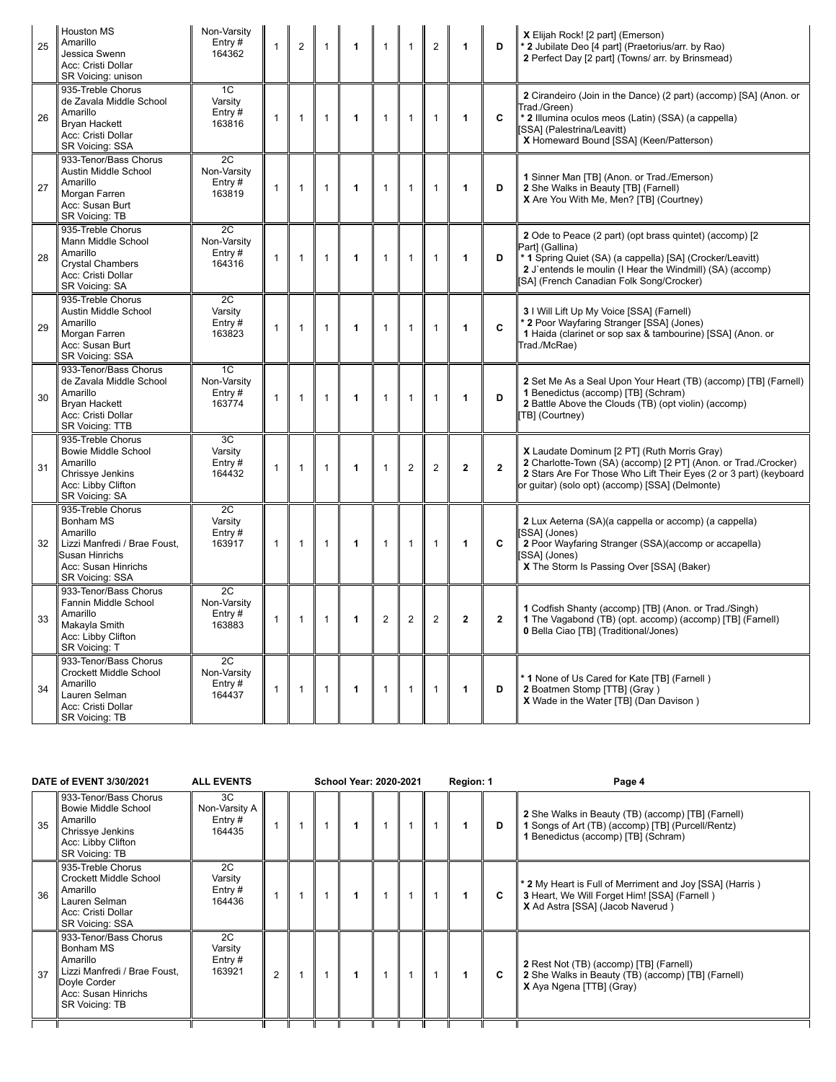| 25 | <b>Houston MS</b><br>Amarillo<br>Jessica Swenn<br>Acc: Cristi Dollar<br>SR Voicing: unison                                             | Non-Varsity<br>Entry#<br>164362                       | $\mathbf{1}$ | $\overline{2}$ | $\mathbf{1}$   | 1                       | $\mathbf{1}$   | $\overline{1}$ | $\overline{2}$ | 1              | D              | X Elijah Rock! [2 part] (Emerson)<br>* 2 Jubilate Deo [4 part] (Praetorius/arr. by Rao)<br>2 Perfect Day [2 part] (Towns/ arr. by Brinsmead)                                                                                                     |
|----|----------------------------------------------------------------------------------------------------------------------------------------|-------------------------------------------------------|--------------|----------------|----------------|-------------------------|----------------|----------------|----------------|----------------|----------------|--------------------------------------------------------------------------------------------------------------------------------------------------------------------------------------------------------------------------------------------------|
| 26 | 935-Treble Chorus<br>de Zavala Middle School<br>Amarillo<br><b>Brvan Hackett</b><br>Acc: Cristi Dollar<br>SR Voicing: SSA              | 1C<br>Varsity<br>Entry#<br>163816                     | $\mathbf{1}$ | $\mathbf{1}$   | $\mathbf{1}$   | $\mathbf{1}$            | $\mathbf{1}$   | $\mathbf{1}$   | $\mathbf{1}$   | 1              | C              | 2 Cirandeiro (Join in the Dance) (2 part) (accomp) [SA] (Anon. or<br>Trad./Green)<br>* 2 Illumina oculos meos (Latin) (SSA) (a cappella)<br>[SSA] (Palestrina/Leavitt)<br>X Homeward Bound [SSA] (Keen/Patterson)                                |
| 27 | 933-Tenor/Bass Chorus<br>Austin Middle School<br>Amarillo<br>Morgan Farren<br>Acc: Susan Burt<br>SR Voicing: TB                        | $\overline{2C}$<br>Non-Varsity<br>Entry $#$<br>163819 | $\mathbf{1}$ | $\mathbf{1}$   | $\mathbf{1}$   | $\mathbf{1}$            | $\mathbf{1}$   | $\overline{1}$ | $\mathbf{1}$   | 1              | D              | 1 Sinner Man [TB] (Anon. or Trad./Emerson)<br>2 She Walks in Beauty [TB] (Farnell)<br>X Are You With Me, Men? [TB] (Courtney)                                                                                                                    |
| 28 | 935-Treble Chorus<br>Mann Middle School<br>Amarillo<br><b>Crystal Chambers</b><br>Acc: Cristi Dollar<br>SR Voicing: SA                 | 2C<br>Non-Varsity<br>Entry $#$<br>164316              | $\mathbf{1}$ | $\mathbf{1}$   | $\mathbf{1}$   | 1                       | $\mathbf{1}$   | $\overline{1}$ | $\mathbf{1}$   | 1              | D              | 2 Ode to Peace (2 part) (opt brass quintet) (accomp) [2<br>Part] (Gallina)<br>* 1 Spring Quiet (SA) (a cappella) [SA] (Crocker/Leavitt)<br>2 J'entends le moulin (I Hear the Windmill) (SA) (accomp)<br>[SA] (French Canadian Folk Song/Crocker) |
| 29 | 935-Treble Chorus<br>Austin Middle School<br>Amarillo<br>Morgan Farren<br>Acc: Susan Burt<br>SR Voicing: SSA                           | 2C<br>Varsity<br>Entry $#$<br>163823                  | $\mathbf{1}$ | $\mathbf{1}$   | $\mathbf{1}$   | 1                       | $\mathbf{1}$   | $\mathbf{1}$   | $\mathbf{1}$   | 1              | C              | 3 I Will Lift Up My Voice [SSA] (Farnell)<br>* 2 Poor Wayfaring Stranger [SSA] (Jones)<br>1 Haida (clarinet or sop sax & tambourine) [SSA] (Anon. or<br>Trad./McRae)                                                                             |
| 30 | 933-Tenor/Bass Chorus<br>de Zavala Middle School<br>Amarillo<br><b>Bryan Hackett</b><br>Acc: Cristi Dollar<br>SR Voicing: TTB          | 1 <sup>C</sup><br>Non-Varsity<br>Entry#<br>163774     | $\mathbf{1}$ | $\mathbf{1}$   | $\mathbf{1}$   | 1                       | $\mathbf{1}$   | $\mathbf{1}$   | $\mathbf{1}$   | 1              | D              | 2 Set Me As a Seal Upon Your Heart (TB) (accomp) [TB] (Farnell)<br>1 Benedictus (accomp) [TB] (Schram)<br>2 Battle Above the Clouds (TB) (opt violin) (accomp)<br>[TB] (Courtney)                                                                |
| 31 | 935-Treble Chorus<br><b>Bowie Middle School</b><br>Amarillo<br>Chrissye Jenkins<br>Acc: Libby Clifton<br>SR Voicing: SA                | 3C<br>Varsity<br>Entry $#$<br>164432                  | $\mathbf{1}$ | $\mathbf{1}$   | $\mathbf{1}$   | 1                       | $\mathbf{1}$   | $\overline{2}$ | $\overline{2}$ | $\mathbf{2}$   | $\mathbf{2}$   | X Laudate Dominum [2 PT] (Ruth Morris Gray)<br>2 Charlotte-Town (SA) (accomp) [2 PT] (Anon. or Trad./Crocker)<br>2 Stars Are For Those Who Lift Their Eyes (2 or 3 part) (keyboard<br>or guitar) (solo opt) (accomp) [SSA] (Delmonte)            |
| 32 | 935-Treble Chorus<br>Bonham MS<br>Amarillo<br>Lizzi Manfredi / Brae Foust,<br>Susan Hinrichs<br>Acc: Susan Hinrichs<br>SR Voicing: SSA | 2C<br>Varsity<br>Entry#<br>163917                     | $\mathbf{1}$ | $\mathbf{1}$   | $\mathbf{1}$   | $\mathbf{1}$            | $\mathbf{1}$   | $\overline{1}$ | $\mathbf{1}$   | 1              | C              | 2 Lux Aeterna (SA)(a cappella or accomp) (a cappella)<br>[SSA] (Jones)<br>2 Poor Wayfaring Stranger (SSA)(accomp or accapella)<br>SSAI (Jones)<br>X The Storm Is Passing Over [SSA] (Baker)                                                      |
| 33 | 933-Tenor/Bass Chorus<br>Fannin Middle School<br>Amarillo<br>Makayla Smith<br>Acc: Libby Clifton<br>SR Voicing: T                      | 2C<br>Non-Varsity<br>Entry#<br>163883                 | $\mathbf{1}$ | $\mathbf{1}$   | $\mathbf{1}$   | $\overline{\mathbf{1}}$ | $\overline{2}$ | 2              | $\overline{2}$ | $\overline{2}$ | $\overline{2}$ | 1 Codfish Shanty (accomp) [TB] (Anon. or Trad./Singh)<br>1 The Vagabond (TB) (opt. accomp) (accomp) [TB] (Farnell)<br>0 Bella Ciao [TB] (Traditional/Jones)                                                                                      |
| 34 | 933-Tenor/Bass Chorus<br>Crockett Middle School<br>Amarillo<br>Lauren Selman<br>Acc: Cristi Dollar<br><b>SR Voicing: TB</b>            | 2C<br>Non-Varsity<br>Entry#<br>164437                 | $\mathbf{1}$ | $\mathbf{1}$   | $\overline{1}$ | $\mathbf{1}$            | $\mathbf{1}$   | $\mathbf{1}$   | $\mathbf{1}$   | 1              | D              | * 1 None of Us Cared for Kate [TB] (Farnell)<br>2 Boatmen Stomp [TTB] (Gray)<br>X Wade in the Water [TB] (Dan Davison)                                                                                                                           |

| <b>ALL EVENTS</b><br>DATE of EVENT 3/30/2021 |    |                                                                                                                                                |                                            |  | <b>School Year: 2020-2021</b> |  | Region: 1 |   | Page 4                                                                                                                                         |
|----------------------------------------------|----|------------------------------------------------------------------------------------------------------------------------------------------------|--------------------------------------------|--|-------------------------------|--|-----------|---|------------------------------------------------------------------------------------------------------------------------------------------------|
|                                              | 35 | 933-Tenor/Bass Chorus<br><b>Bowie Middle School</b><br>Amarillo<br>Chrissye Jenkins<br>Acc: Libby Clifton<br><b>SR Voicing: TB</b>             | 3C<br>Non-Varsity A<br>Entry $#$<br>164435 |  |                               |  |           | D | 2 She Walks in Beauty (TB) (accomp) [TB] (Farnell)<br>1 Songs of Art (TB) (accomp) [TB] (Purcell/Rentz)<br>1 Benedictus (accomp) [TB] (Schram) |
|                                              | 36 | 935-Treble Chorus<br>Crockett Middle School<br>Amarillo<br>Lauren Selman<br>Acc: Cristi Dollar<br><b>SR Voicing: SSA</b>                       | 2C<br>Varsity<br>Entry $#$<br>164436       |  |                               |  |           | C | * 2 My Heart is Full of Merriment and Joy [SSA] (Harris)<br>3 Heart, We Will Forget Him! [SSA] (Farnell)<br>X Ad Astra [SSA] (Jacob Naverud)   |
|                                              | 37 | 933-Tenor/Bass Chorus<br>Bonham MS<br>Amarillo<br>Lizzi Manfredi / Brae Foust,<br>Doyle Corder<br>Acc: Susan Hinrichs<br><b>SR Voicing: TB</b> | 2C<br>Varsity<br>Entry $#$<br>163921       |  |                               |  |           | C | 2 Rest Not (TB) (accomp) [TB] (Farnell)<br>2 She Walks in Beauty (TB) (accomp) [TB] (Farnell)<br>X Aya Ngena [TTB] (Gray)                      |
|                                              |    |                                                                                                                                                |                                            |  |                               |  |           |   |                                                                                                                                                |